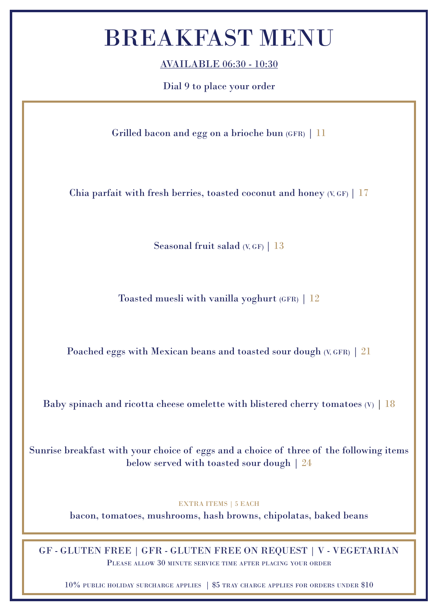#### BREAKFAST MENU

AVAILABLE 06:30 - 10:30

Dial 9 to place your order

Grilled bacon and egg on a brioche bun (GFR) | 11

Chia parfait with fresh berries, toasted coconut and honey  $(V, GF)$  | 17

Seasonal fruit salad  $(V, GF)$  | 13

Toasted muesli with vanilla yoghurt (GFR) | 12

Poached eggs with Mexican beans and toasted sour dough  $(V, GFR)$  | 21

Baby spinach and ricotta cheese omelette with blistered cherry tomatoes  $(V)$  | 18

Sunrise breakfast with your choice of eggs and a choice of three of the following items below served with toasted sour dough | 24

#### EXTRA ITEMS | 5 EACH

bacon, tomatoes, mushrooms, hash browns, chipolatas, baked beans

GF - GLUTEN FREE | GFR - GLUTEN FREE ON REQUEST | V - VEGETARIAN Please allow 30 minute service time after placing your order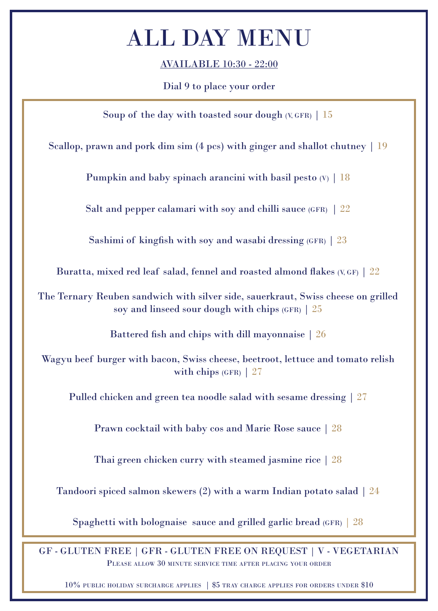AVAILABLE 10:30 - 22:00

Dial 9 to place your order

Soup of the day with toasted sour dough  $(V, GFR)$  | 15

Scallop, prawn and pork dim sim (4 pcs) with ginger and shallot chutney | 19

Pumpkin and baby spinach arancini with basil pesto  $(V)$  | 18

Salt and pepper calamari with soy and chilli sauce (GFR) | 22

Sashimi of kingfish with soy and wasabi dressing  $(FR)$  | 23

Buratta, mixed red leaf salad, fennel and roasted almond flakes (V, GF) | 22

The Ternary Reuben sandwich with silver side, sauerkraut, Swiss cheese on grilled soy and linseed sour dough with chips (GFR) | 25

Battered fish and chips with dill mayonnaise | 26

Wagyu beef burger with bacon, Swiss cheese, beetroot, lettuce and tomato relish with chips  $(GFR)$  | 27

Pulled chicken and green tea noodle salad with sesame dressing | 27

Prawn cocktail with baby cos and Marie Rose sauce | 28

Thai green chicken curry with steamed jasmine rice | 28

Tandoori spiced salmon skewers (2) with a warm Indian potato salad | 24

Spaghetti with bolognaise sauce and grilled garlic bread (GFR) | 28

GF - GLUTEN FREE | GFR - GLUTEN FREE ON REQUEST | V - VEGETARIAN Please allow 30 minute service time after placing your order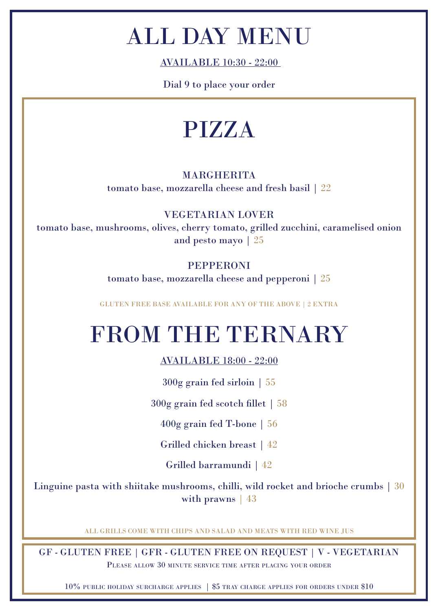AVAILABLE 10:30 - 22:00

Dial 9 to place your order

#### PIZZA

#### MARGHERITA tomato base, mozzarella cheese and fresh basil | 22

VEGETARIAN LOVER

tomato base, mushrooms, olives, cherry tomato, grilled zucchini, caramelised onion and pesto mayo | 25

#### PEPPERONI

tomato base, mozzarella cheese and pepperoni | 25

GLUTEN FREE BASE AVAILABLE FOR ANY OF THE ABOVE | 2 EXTRA

#### FROM THE TERNARY

#### AVAILABLE 18:00 - 22:00

300g grain fed sirloin | 55

300g grain fed scotch fillet | 58

400g grain fed T-bone | 56

Grilled chicken breast | 42

Grilled barramundi | 42

Linguine pasta with shiitake mushrooms, chilli, wild rocket and brioche crumbs | 30 with prawns | 43

ALL GRILLS COME WITH CHIPS AND SALAD AND MEATS WITH RED WINE JUS

GF - GLUTEN FREE | GFR - GLUTEN FREE ON REQUEST | V - VEGETARIAN Please allow 30 minute service time after placing your order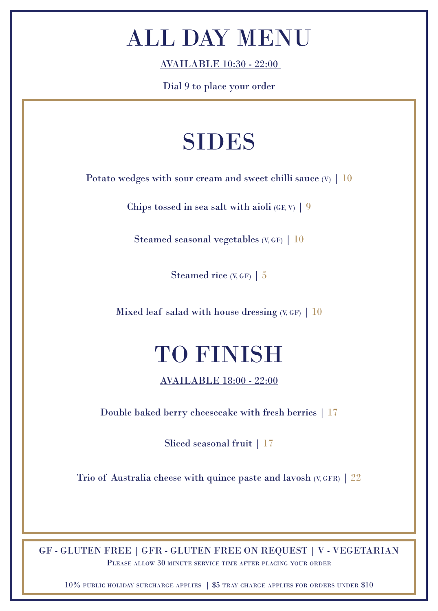AVAILABLE 10:30 - 22:00

Dial 9 to place your order

#### SIDES

Potato wedges with sour cream and sweet chilli sauce  $(V)$  | 10

Chips tossed in sea salt with aioli  $(GF, V)$  | 9

Steamed seasonal vegetables  $(V, GF)$  | 10

Steamed rice (V, GF) | 5

Mixed leaf salad with house dressing  $(V, GF)$  | 10

## TO FINISH

AVAILABLE 18:00 - 22:00

Double baked berry cheesecake with fresh berries | 17

Sliced seasonal fruit | 17

Trio of Australia cheese with quince paste and lavosh  $(V, GFR)$  | 22

GF - GLUTEN FREE | GFR - GLUTEN FREE ON REQUEST | V - VEGETARIAN Please allow 30 minute service time after placing your order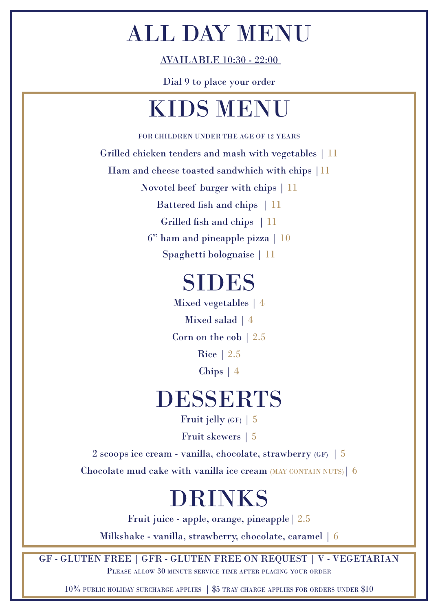AVAILABLE 10:30 - 22:00

Dial 9 to place your order

### KIDS MENU

FOR CHILDREN UNDER THE AGE OF 12 YEARS

Grilled chicken tenders and mash with vegetables | 11

Ham and cheese toasted sandwhich with chips  $|11|$ 

Novotel beef burger with chips | 11

Battered fish and chips | 11

Grilled fish and chips | 11

6" ham and pineapple pizza | 10

Spaghetti bolognaise | 11

#### SIDES

Corn on the cob | 2.5 Mixed salad | 4 Mixed vegetables | 4 Chips | 4 Rice | 2.5

#### DESSERTS

Fruit jelly  $(GF)$  | 5

Fruit skewers | 5

2 scoops ice cream - vanilla, chocolate, strawberry (GF) | 5

Chocolate mud cake with vanilla ice cream (MAY CONTAIN NUTS)| 6

#### DRINKS

Fruit juice - apple, orange, pineapple| 2.5

Milkshake - vanilla, strawberry, chocolate, caramel | 6

GF - GLUTEN FREE | GFR - GLUTEN FREE ON REQUEST | V - VEGETARIAN Please allow 30 minute service time after placing your order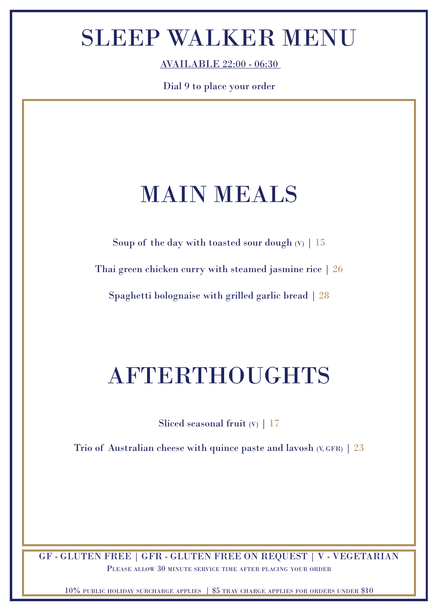## SLEEP WALKER MENU

AVAILABLE 22:00 - 06:30

Dial 9 to place your order

### MAIN MEALS

Soup of the day with toasted sour dough  $(V)$  | 15

Thai green chicken curry with steamed jasmine rice | 26

Spaghetti bolognaise with grilled garlic bread | 28

### AFTERTHOUGHTS

Sliced seasonal fruit (V) | 17

Trio of Australian cheese with quince paste and lavosh  $(V, GFR)$  | 23

GF - GLUTEN FREE | GFR - GLUTEN FREE ON REQUEST | V - VEGETARIAN Please allow 30 minute service time after placing your order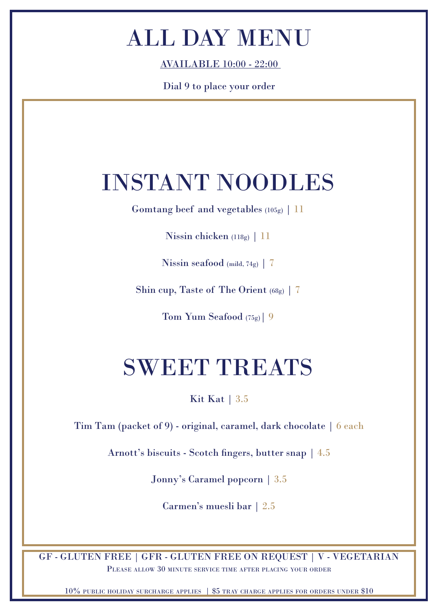AVAILABLE 10:00 - 22:00

Dial 9 to place your order

#### INSTANT NOODLES

Gomtang beef and vegetables (105g) | 11

Nissin chicken (118g) | 11

Nissin seafood (mild, 74g) |  $7$ 

Shin cup, Taste of The Orient (68g) | 7

Tom Yum Seafood (75g)| 9

## SWEET TREATS

Kit Kat | 3.5

Tim Tam (packet of 9) - original, caramel, dark chocolate | 6 each

Arnott's biscuits - Scotch fingers, butter snap | 4.5

Jonny's Caramel popcorn | 3.5

Carmen's muesli bar | 2.5

GF - GLUTEN FREE | GFR - GLUTEN FREE ON REQUEST | V - VEGETARIAN Please allow 30 minute service time after placing your order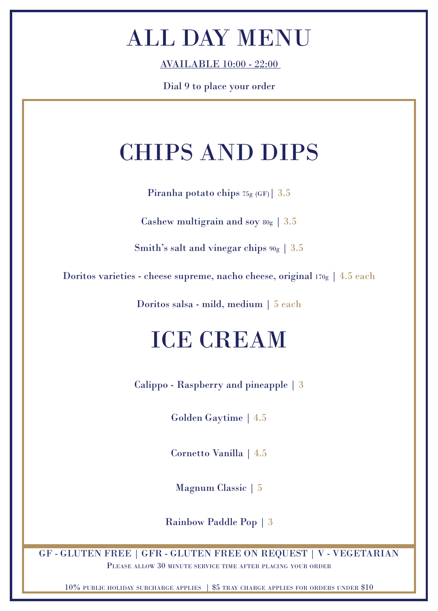AVAILABLE 10:00 - 22:00

Dial 9 to place your order

# CHIPS AND DIPS

Piranha potato chips  $75g(GF)$  3.5

Cashew multigrain and soy  $80g \mid 3.5$ 

Smith's salt and vinegar chips  $90g \mid 3.5$ 

Doritos varieties - cheese supreme, nacho cheese, original 170g | 4.5 each

Doritos salsa - mild, medium | 5 each

## ICE CREAM

Calippo - Raspberry and pineapple | 3

Golden Gaytime | 4.5

Cornetto Vanilla | 4.5

Magnum Classic | 5

Rainbow Paddle Pop | 3

GF - GLUTEN FREE | GFR - GLUTEN FREE ON REQUEST | V - VEGETARIAN Please allow 30 minute service time after placing your order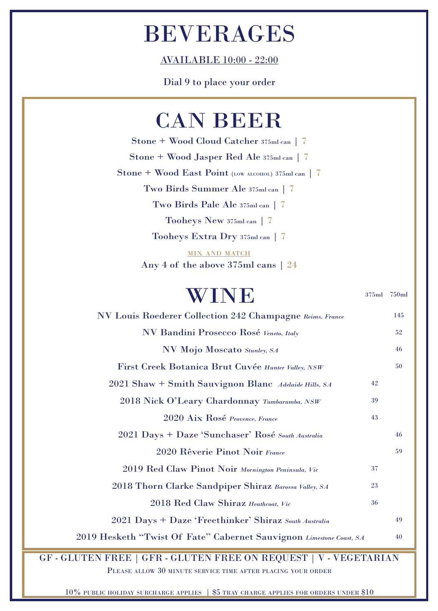#### BEVERAGES

AVAILABLE 10:00 - 22:00

Dial 9 to place your order

#### CAN BEER

Two Birds Pale Ale 375ml can | 7 Two Birds Summer Ale 375ml can | 7 Stone + Wood East Point (LOW ALCOHOL) 375ml can | 7 Stone + Wood Cloud Catcher 375ml can | 7 Stone + Wood Jasper Red Ale 375ml can | 7 Tooheys New 375ml can | 7 Tooheys Extra Dry 375ml can | 7

> **MIX AND MATCH** Any 4 of the above 375ml cans | 24

#### WINE NV Louis Roederer Collection 242 Champagne *Reims, France* NV Bandini Prosecco Rosé *Veneto, Italy* NV Mojo Moscato *Stunley, SA* First Creek Botanica Brut Cuvée *Hunter Valley, NSW* 2021 Shaw + Smith Sauvignon Blanc *Adelaide Hills, SA* 2018 Nick O'Leary Chardonnay *Tumbarumba, NSW* 2020 Aix Rosé *Provence, France* 2021 Days + Daze 'Sunchaser' Rosé *South Australia* 2020 Rêverie Pinot Noir *France* 2019 Red Claw Pinot Noir *Mornington Peninsula, Vic* 2018 Thorn Clarke Sandpiper Shiraz *Barossa Valley, SA* 375ml 750ml 2018 Red Claw Shiraz *Heathcoat, Vic* 2021 Days + Daze 'Freethinker' Shiraz *South Australia* 2019 Hesketh "Twist Of Fate" Cabernet Sauvignon *Limestone Coast, SA* 145 52 46 50 42 39 43 46 59 37 23 36 49 40

GF - GLUTEN FREE | GFR - GLUTEN FREE ON REQUEST | V - VEGETARIAN Please allow 30 minute service time after placing your order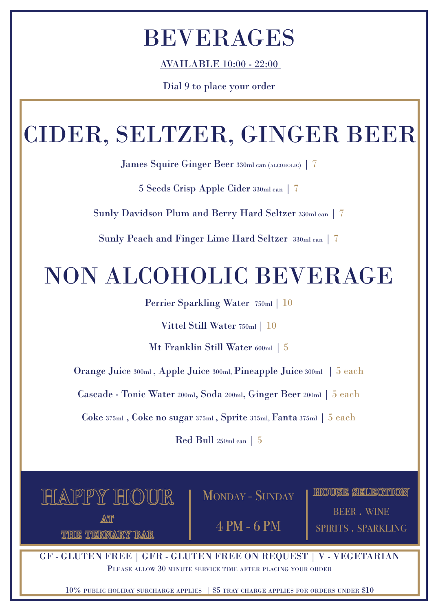# BEVERAGES

AVAILABLE 10:00 - 22:00

Dial 9 to place your order

# CIDER, SELTZER, GINGER BEER

James Squire Ginger Beer 330ml can (alcoholic) | 7

5 Seeds Crisp Apple Cider 330ml can | 7

Sunly Davidson Plum and Berry Hard Seltzer 330ml can | 7

Sunly Peach and Finger Lime Hard Seltzer 330ml can | 7

# NON ALCOHOLIC BEVERAGE

Perrier Sparkling Water 750ml | 10

Vittel Still Water 750ml | 10

Mt Franklin Still Water 600ml | 5

Orange Juice 300ml , Apple Juice 300ml, Pineapple Juice 300ml | 5 each

Cascade - Tonic Water 200ml, Soda 200ml, Ginger Beer 200ml | 5 each

Coke 375ml , Coke no sugar 375ml , Sprite 375ml, Fanta 375ml | 5 each

Red Bull 250ml can | 5



THE TERNARY BAR 4 PM - 6 PM

at beer . Wine and the second beer . Wine spirits . sparkling **HOUSE SELECTION** 

GF - GLUTEN FREE | GFR - GLUTEN FREE ON REQUEST | V - VEGETARIAN Please allow 30 minute service time after placing your order